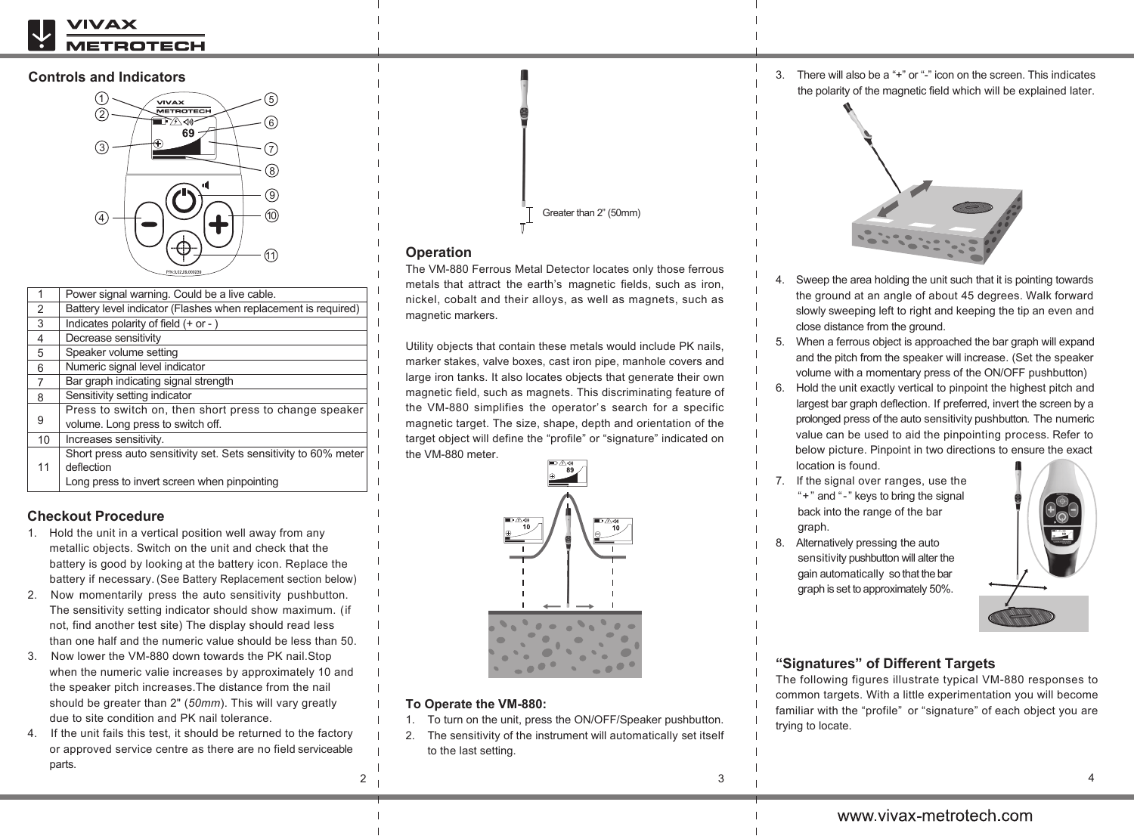# TROTECH

## **Controls and Indicators**



| 1  | Power signal warning. Could be a live cable.                    |  |
|----|-----------------------------------------------------------------|--|
| 2  | Battery level indicator (Flashes when replacement is required)  |  |
| 3  | Indicates polarity of field $(+ or -)$                          |  |
| 4  | Decrease sensitivity                                            |  |
| 5  | Speaker volume setting                                          |  |
| 6  | Numeric signal level indicator                                  |  |
| 7  | Bar graph indicating signal strength                            |  |
| 8  | Sensitivity setting indicator                                   |  |
| 9  | Press to switch on, then short press to change speaker          |  |
|    | volume. Long press to switch off.                               |  |
| 10 | Increases sensitivity.                                          |  |
| 11 | Short press auto sensitivity set. Sets sensitivity to 60% meter |  |
|    | deflection                                                      |  |
|    | Long press to invert screen when pinpointing                    |  |
|    |                                                                 |  |

# **Checkout Procedure**

- 1. Hold the unit in a vertical position well away from any metallic objects. Switch on the unit and check that the battery is good by looking at the battery icon. Replace the battery if necessary. (See Battery Replacement section below)
- 2. Now momentarily press the auto sensitivity pushbutton. The sensitivity setting indicator should show maximum. (if not, find another test site) The display should read less than one half and the numeric value should be less than 50.
- 3. Now lower the VM-880 down towards the PK nail.Stop when the numeric valie increases by approximately 10 and the speaker pitch increases.The distance from the nail should be greater than 2" (*50mm*). This will vary greatly due to site condition and PK nail tolerance.
- 4. If the unit fails this test, it should be returned to the factory or approved service centre as there are no field serviceable parts.



# **Operation**

The VM-880 Ferrous Metal Detector locates only those ferrous metals that attract the earth's magnetic fields, such as iron, nickel, cobalt and their alloys, as well as magnets, such as magnetic markers.

Utility objects that contain these metals would include PK nails, marker stakes, valve boxes, cast iron pipe, manhole covers and large iron tanks. It also locates objects that generate their own magnetic field, such as magnets. This discriminating feature of the VM-880 simplifies the operator's search for a specific magnetic target. The size, shape, depth and orientation of the target object will define the "profile" or "signature" indicated on the VM-880 meter.



### **To Operate the VM-880:**

2

- 1. To turn on the unit, press the ON/OFF/Speaker pushbutton.
- 2. The sensitivity of the instrument will automatically set itself to the last setting.

3. There will also be a "+" or "-" icon on the screen. This indicates the polarity of the magnetic field which will be explained later.



- 4. Sweep the area holding the unit such that it is pointing towards the ground at an angle of about 45 degrees. Walk forward slowly sweeping left to right and keeping the tip an even and close distance from the ground.
- 5. When a ferrous object is approached the bar graph will expand and the pitch from the speaker will increase. (Set the speaker volume with a momentary press of the ON/OFF pushbutton)
- 6. Hold the unit exactly vertical to pinpoint the highest pitch and largest bar graph deflection. If preferred, invert the screen by a prolonged press of the auto sensitivity pushbutton. The numeric value can be used to aid the pinpointing process. Refer to below picture. Pinpoint in two directions to ensure the exact location is found.
- 7. If the signal over ranges, use the
- "+" and "-" keys to bring the signal back into the range of the bar
- graph.
- 8. Alternatively pressing the auto sensitivity pushbutton will alter the gain automatically so that the bar graph is set to approximately 50%.



# **"Signatures" of Different Targets**

The following figures illustrate typical VM-880 responses to common targets. With a little experimentation you will become familiar with the "profile" or "signature" of each object you are trying to locate.

4